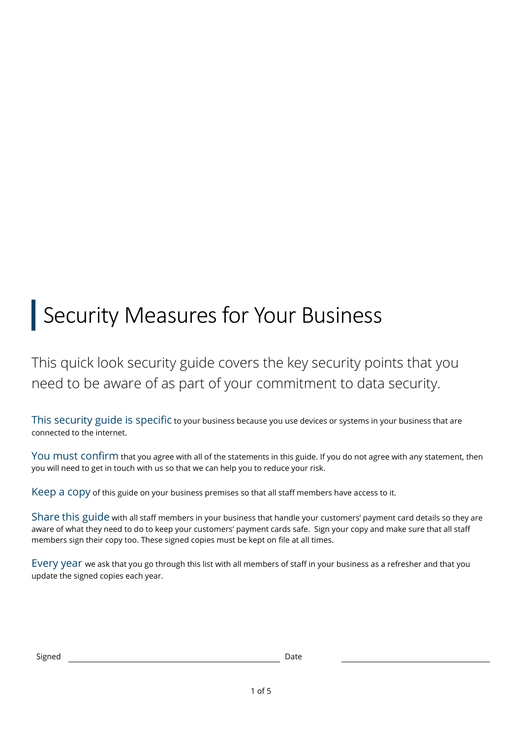# Security Measures for Your Business

This quick look security guide covers the key security points that you need to be aware of as part of your commitment to data security.

This security guide is specific to your business because you use devices or systems in your business that are connected to the internet.

You must confirm that you agree with all of the statements in this guide. If you do not agree with any statement, then you will need to get in touch with us so that we can help you to reduce your risk.

Keep a copy of this guide on your business premises so that all staff members have access to it.

Share this guide with all staff members in your business that handle your customers' payment card details so they are aware of what they need to do to keep your customers' payment cards safe. Sign your copy and make sure that all staff members sign their copy too. These signed copies must be kept on file at all times.

Every year we ask that you go through this list with all members of staff in your business as a refresher and that you update the signed copies each year.

| Signed | Date |
|--------|------|
|--------|------|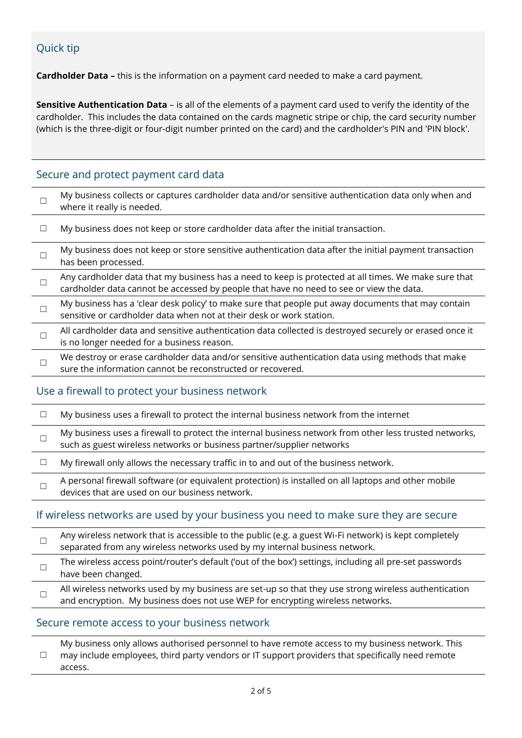# Quick tip

**Cardholder Data –** this is the information on a payment card needed to make a card payment.

**Sensitive Authentication Data** – is all of the elements of a payment card used to verify the identity of the cardholder. This includes the data contained on the cards magnetic stripe or chip, the card security number (which is the three-digit or four-digit number printed on the card) and the cardholder's PIN and 'PIN block'.

# Secure and protect payment card data

| My business collects or captures cardholder data and/or sensitive authentication data only when and<br>where it really is needed.                                                               |
|-------------------------------------------------------------------------------------------------------------------------------------------------------------------------------------------------|
| My business does not keep or store cardholder data after the initial transaction.                                                                                                               |
| My business does not keep or store sensitive authentication data after the initial payment transaction<br>has been processed.                                                                   |
| Any cardholder data that my business has a need to keep is protected at all times. We make sure that<br>cardholder data cannot be accessed by people that have no need to see or view the data. |
| My business has a 'clear desk policy' to make sure that people put away documents that may contain<br>sensitive or cardholder data when not at their desk or work station.                      |
| All cardholder data and sensitive authentication data collected is destroyed securely or erased once it<br>is no longer needed for a business reason.                                           |
| We destroy or erase cardholder data and/or sensitive authentication data using methods that make<br>sure the information cannot be reconstructed or recovered.                                  |

# Use a firewall to protect your business network

| My business uses a firewall to protect the internal business network from the internet                                                                                          |
|---------------------------------------------------------------------------------------------------------------------------------------------------------------------------------|
| My business uses a firewall to protect the internal business network from other less trusted networks,<br>such as guest wireless networks or business partner/supplier networks |
| My firewall only allows the necessary traffic in to and out of the business network.                                                                                            |
| A personal firewall software (or equivalent protection) is installed on all laptops and other mobile<br>devices that are used on our business network.                          |

# If wireless networks are used by your business you need to make sure they are secure

| Any wireless network that is accessible to the public (e.g. a guest Wi-Fi network) is kept completely<br>separated from any wireless networks used by my internal business network.    |
|----------------------------------------------------------------------------------------------------------------------------------------------------------------------------------------|
| The wireless access point/router's default ('out of the box') settings, including all pre-set passwords<br>have been changed.                                                          |
| All wireless networks used by my business are set-up so that they use strong wireless authentication<br>and encryption. My business does not use WEP for encrypting wireless networks. |

# Secure remote access to your business network

☐ My business only allows authorised personnel to have remote access to my business network. This may include employees, third party vendors or IT support providers that specifically need remote access.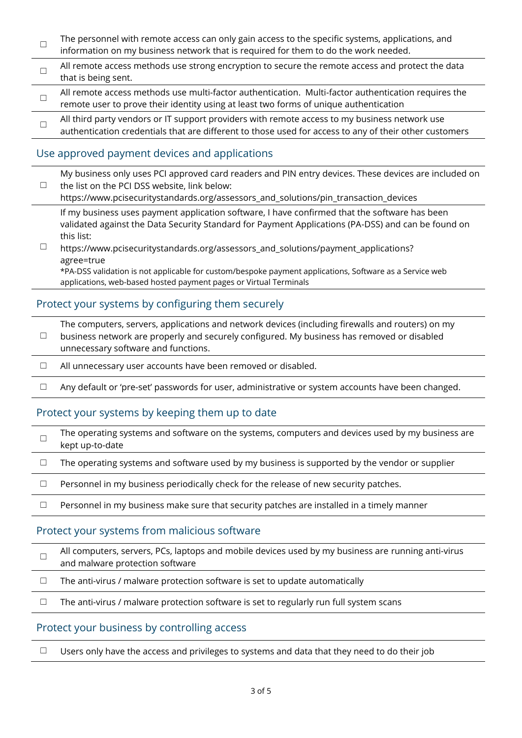- ☐ The personnel with remote access can only gain access to the specific systems, applications, and information on my business network that is required for them to do the work needed.
- ☐ All remote access methods use strong encryption to secure the remote access and protect the data that is being sent.
- ☐ All remote access methods use multi-factor authentication. Multi-factor authentication requires the remote user to prove their identity using at least two forms of unique authentication
- ☐ All third party vendors or IT support providers with remote access to my business network use authentication credentials that are different to those used for access to any of their other customers

# Use approved payment devices and applications

| My business only uses PCI approved card readers and PIN entry devices. These devices are included on<br>the list on the PCI DSS website, link below:<br>https://www.pcisecuritystandards.org/assessors_and_solutions/pin_transaction_devices |
|----------------------------------------------------------------------------------------------------------------------------------------------------------------------------------------------------------------------------------------------|
| If my business uses payment application software, I have confirmed that the software has been<br>validated against the Data Security Standard for Payment Applications (PA-DSS) and can be found on<br>this list:                            |
| https://www.pcisecuritystandards.org/assessors_and_solutions/payment_applications?<br>agree=true<br>*PA-DSS validation is not applicable for custom/bespoke payment applications, Software as a Service web                                  |

applications, web-based hosted payment pages or Virtual Terminals

# Protect your systems by configuring them securely

☐ The computers, servers, applications and network devices (including firewalls and routers) on my business network are properly and securely configured. My business has removed or disabled unnecessary software and functions.

- ☐ All unnecessary user accounts have been removed or disabled.
- ☐ Any default or 'pre-set' passwords for user, administrative or system accounts have been changed.

# Protect your systems by keeping them up to date

| The operating systems and software on the systems, computers and devices used by my business are |
|--------------------------------------------------------------------------------------------------|
| kept up-to-date                                                                                  |

 $\Box$  The operating systems and software used by my business is supported by the vendor or supplier

 $\Box$  Personnel in my business periodically check for the release of new security patches.

□ Personnel in my business make sure that security patches are installed in a timely manner

# Protect your systems from malicious software

- ☐ All computers, servers, PCs, laptops and mobile devices used by my business are running anti-virus and malware protection software
- $\Box$  The anti-virus / malware protection software is set to update automatically

 $\Box$  The anti-virus / malware protection software is set to regularly run full system scans

# Protect your business by controlling access

□ Users only have the access and privileges to systems and data that they need to do their job